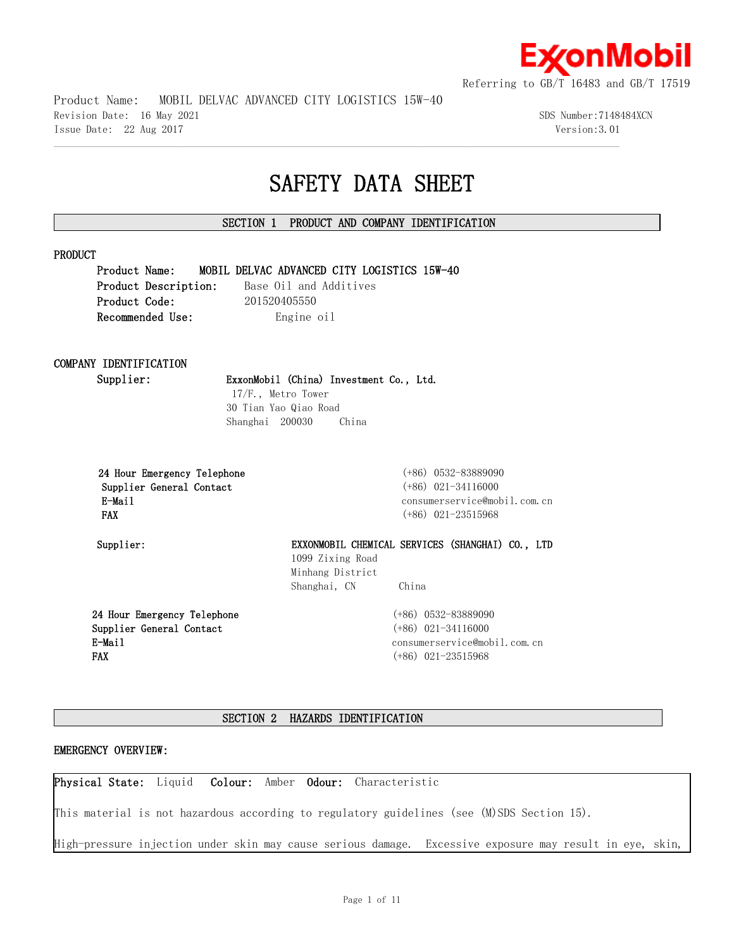

Product Name: MOBIL DELVAC ADVANCED CITY LOGISTICS 15W-40

Revision Date: 16 May 2021 3DS Number:7148484XCN Issue Date: 22 Aug 2017 Version:3.01

# **SAFETY DATA SHEET**

# **SECTION 1 PRODUCT AND COMPANY IDENTIFICATION**

 $\mathcal{L} = \{ \mathcal{L} = \{ \mathcal{L} = \{ \mathcal{L} = \{ \mathcal{L} = \{ \mathcal{L} = \{ \mathcal{L} = \{ \mathcal{L} = \{ \mathcal{L} = \{ \mathcal{L} = \{ \mathcal{L} = \{ \mathcal{L} = \{ \mathcal{L} = \{ \mathcal{L} = \{ \mathcal{L} = \{ \mathcal{L} = \{ \mathcal{L} = \{ \mathcal{L} = \{ \mathcal{L} = \{ \mathcal{L} = \{ \mathcal{L} = \{ \mathcal{L} = \{ \mathcal{L} = \{ \mathcal{L} = \{ \mathcal{$ 

#### **PRODUCT**

**Product Name: MOBIL DELVAC ADVANCED CITY LOGISTICS 15W-40**

**Product Description:** Base Oil and Additives **Product Code:** 201520405550 **Recommended Use:** Engine oil

# **COMPANY IDENTIFICATION**

# **Supplier: ExxonMobil (China) Investment Co., Ltd.**

 17/F., Metro Tower 30 Tian Yao Qiao Road Shanghai 200030 China

|            |        |                          | 24 Hour Emergency Telephone |
|------------|--------|--------------------------|-----------------------------|
|            |        | Supplier General Contact |                             |
|            | E-Mail |                          |                             |
| <b>FAX</b> |        |                          |                             |

 **24 Hour Emergency Telephone** (+86) 0532-83889090  **Supplier General Contact** (+86) 021-34116000 consumerservice@mobil.com.cn  **FAX** (+86) 021-23515968

**Supplier: EXXONMOBIL CHEMICAL SERVICES (SHANGHAI) CO., LTD** 1099 Zixing Road Minhang District Shanghai, CN China

**24 Hour Emergency Telephone Supplier General Contact E-Mail FAX**

(+86) 0532-83889090 (+86) 021-34116000 consumerservice@mobil.com.cn (+86) 021-23515968

# **SECTION 2 HAZARDS IDENTIFICATION**

#### **EMERGENCY OVERVIEW:**

**Physical State:** Liquid **Colour:** Amber **Odour:** Characteristic

This material is not hazardous according to regulatory guidelines (see (M)SDS Section 15).

High-pressure injection under skin may cause serious damage. Excessive exposure may result in eye, skin,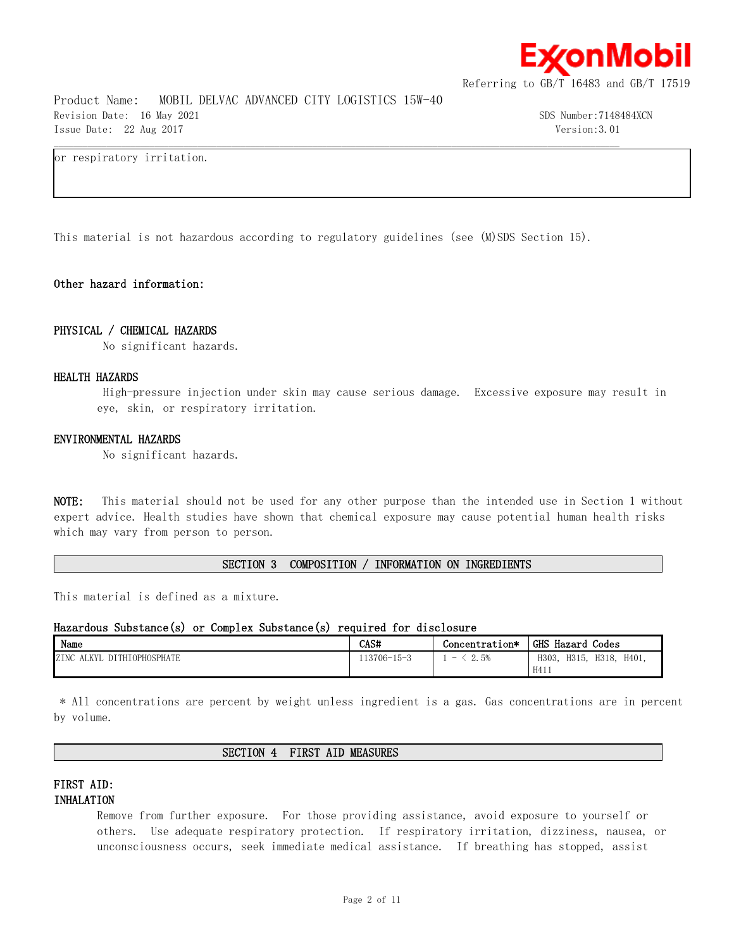

Product Name: MOBIL DELVAC ADVANCED CITY LOGISTICS 15W-40 Revision Date: 16 May 2021 30 Sumber:7148484XCN Issue Date: 22 Aug 2017 Version:3.01

or respiratory irritation.

This material is not hazardous according to regulatory guidelines (see (M)SDS Section 15).

 $\mathcal{L} = \{ \mathcal{L} = \{ \mathcal{L} = \{ \mathcal{L} = \{ \mathcal{L} = \{ \mathcal{L} = \{ \mathcal{L} = \{ \mathcal{L} = \{ \mathcal{L} = \{ \mathcal{L} = \{ \mathcal{L} = \{ \mathcal{L} = \{ \mathcal{L} = \{ \mathcal{L} = \{ \mathcal{L} = \{ \mathcal{L} = \{ \mathcal{L} = \{ \mathcal{L} = \{ \mathcal{L} = \{ \mathcal{L} = \{ \mathcal{L} = \{ \mathcal{L} = \{ \mathcal{L} = \{ \mathcal{L} = \{ \mathcal{$ 

# **Other hazard information:**

#### **PHYSICAL / CHEMICAL HAZARDS**

No significant hazards.

#### **HEALTH HAZARDS**

 High-pressure injection under skin may cause serious damage. Excessive exposure may result in eye, skin, or respiratory irritation.

#### **ENVIRONMENTAL HAZARDS**

No significant hazards.

**NOTE:** This material should not be used for any other purpose than the intended use in Section 1 without expert advice. Health studies have shown that chemical exposure may cause potential human health risks which may vary from person to person.

### **SECTION 3 COMPOSITION / INFORMATION ON INGREDIENTS**

This material is defined as a mixture.

### **Hazardous Substance(s) or Complex Substance(s) required for disclosure**

| Name                                                        | CAS#        | Concentration*                   | <b>GHS</b><br>Codes<br>Hazard    |
|-------------------------------------------------------------|-------------|----------------------------------|----------------------------------|
| <b>TOPHOSPHATE</b><br>ZINC<br>i izv<br><b>DITH</b><br>AL IT | 113706-15-3 | 2.5%<br>$\overline{\phantom{a}}$ | H401.<br>H315.<br>H303.<br>H318. |
|                                                             |             |                                  | H411                             |

 \* All concentrations are percent by weight unless ingredient is a gas. Gas concentrations are in percent by volume.

#### **SECTION 4 FIRST AID MEASURES**

# **FIRST AID: INHALATION**

Remove from further exposure. For those providing assistance, avoid exposure to yourself or others. Use adequate respiratory protection. If respiratory irritation, dizziness, nausea, or unconsciousness occurs, seek immediate medical assistance. If breathing has stopped, assist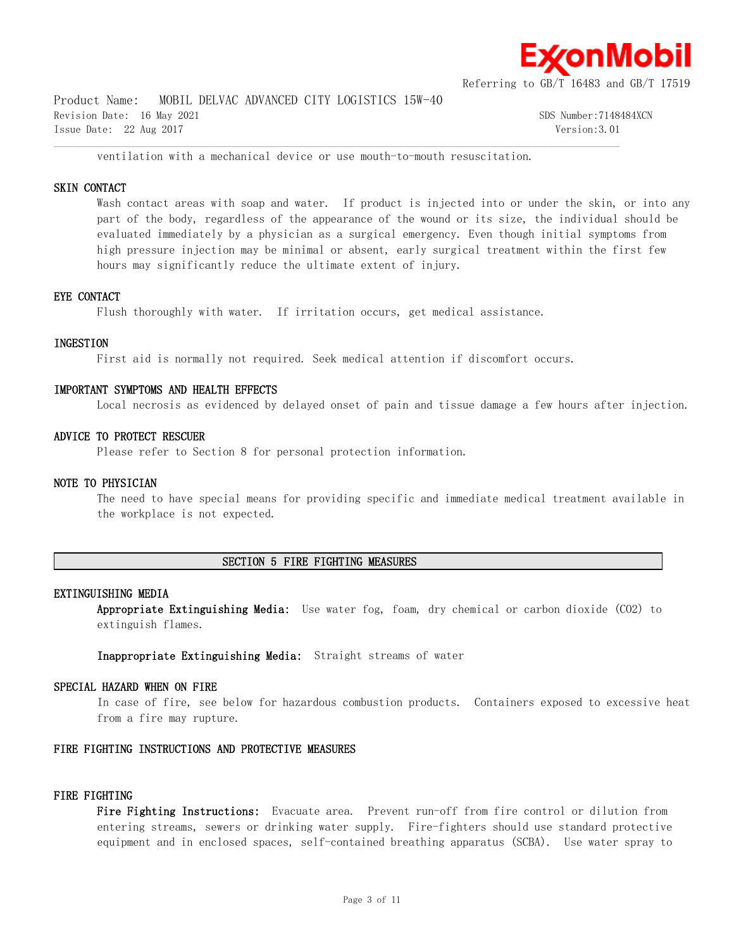

Product Name: MOBIL DELVAC ADVANCED CITY LOGISTICS 15W-40

Revision Date: 16 May 2021 30 Sumber:7148484XCN Issue Date: 22 Aug 2017 Version:3.01

ventilation with a mechanical device or use mouth-to-mouth resuscitation.

 $\mathcal{L} = \{ \mathcal{L} = \{ \mathcal{L} = \{ \mathcal{L} = \{ \mathcal{L} = \{ \mathcal{L} = \{ \mathcal{L} = \{ \mathcal{L} = \{ \mathcal{L} = \{ \mathcal{L} = \{ \mathcal{L} = \{ \mathcal{L} = \{ \mathcal{L} = \{ \mathcal{L} = \{ \mathcal{L} = \{ \mathcal{L} = \{ \mathcal{L} = \{ \mathcal{L} = \{ \mathcal{L} = \{ \mathcal{L} = \{ \mathcal{L} = \{ \mathcal{L} = \{ \mathcal{L} = \{ \mathcal{L} = \{ \mathcal{$ 

## **SKIN CONTACT**

Wash contact areas with soap and water. If product is injected into or under the skin, or into any part of the body, regardless of the appearance of the wound or its size, the individual should be evaluated immediately by a physician as a surgical emergency. Even though initial symptoms from high pressure injection may be minimal or absent, early surgical treatment within the first few hours may significantly reduce the ultimate extent of injury.

#### **EYE CONTACT**

Flush thoroughly with water. If irritation occurs, get medical assistance.

### **INGESTION**

First aid is normally not required. Seek medical attention if discomfort occurs.

#### **IMPORTANT SYMPTOMS AND HEALTH EFFECTS**

Local necrosis as evidenced by delayed onset of pain and tissue damage a few hours after injection.

#### **ADVICE TO PROTECT RESCUER**

Please refer to Section 8 for personal protection information.

#### **NOTE TO PHYSICIAN**

The need to have special means for providing specific and immediate medical treatment available in the workplace is not expected.

#### **SECTION 5 FIRE FIGHTING MEASURES**

#### **EXTINGUISHING MEDIA**

**Appropriate Extinguishing Media:** Use water fog, foam, dry chemical or carbon dioxide (CO2) to extinguish flames.

**Inappropriate Extinguishing Media:** Straight streams of water

#### **SPECIAL HAZARD WHEN ON FIRE**

In case of fire, see below for hazardous combustion products. Containers exposed to excessive heat from a fire may rupture.

#### **FIRE FIGHTING INSTRUCTIONS AND PROTECTIVE MEASURES**

#### **FIRE FIGHTING**

**Fire Fighting Instructions:** Evacuate area. Prevent run-off from fire control or dilution from entering streams, sewers or drinking water supply. Fire-fighters should use standard protective equipment and in enclosed spaces, self-contained breathing apparatus (SCBA). Use water spray to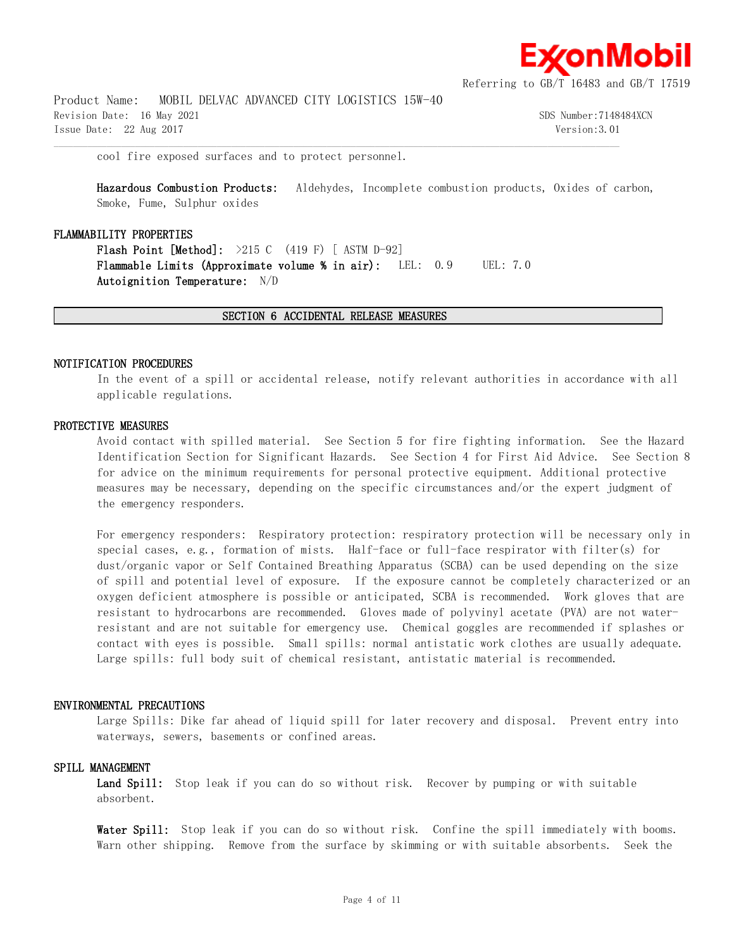

Product Name: MOBIL DELVAC ADVANCED CITY LOGISTICS 15W-40 Revision Date: 16 May 2021 30 Sumber:7148484XCN Issue Date: 22 Aug 2017 Version:3.01

cool fire exposed surfaces and to protect personnel.

**Hazardous Combustion Products:** Aldehydes, Incomplete combustion products, Oxides of carbon, Smoke, Fume, Sulphur oxides

#### **FLAMMABILITY PROPERTIES**

**Flash Point [Method]:** >215 C (419 F) [ ASTM D-92] **Flammable Limits (Approximate volume % in air):** LEL: 0.9 UEL: 7.0 **Autoignition Temperature:** N/D

#### **SECTION 6 ACCIDENTAL RELEASE MEASURES**

 $\mathcal{L} = \{ \mathcal{L} = \{ \mathcal{L} = \{ \mathcal{L} = \{ \mathcal{L} = \{ \mathcal{L} = \{ \mathcal{L} = \{ \mathcal{L} = \{ \mathcal{L} = \{ \mathcal{L} = \{ \mathcal{L} = \{ \mathcal{L} = \{ \mathcal{L} = \{ \mathcal{L} = \{ \mathcal{L} = \{ \mathcal{L} = \{ \mathcal{L} = \{ \mathcal{L} = \{ \mathcal{L} = \{ \mathcal{L} = \{ \mathcal{L} = \{ \mathcal{L} = \{ \mathcal{L} = \{ \mathcal{L} = \{ \mathcal{$ 

#### **NOTIFICATION PROCEDURES**

In the event of a spill or accidental release, notify relevant authorities in accordance with all applicable regulations.

#### **PROTECTIVE MEASURES**

Avoid contact with spilled material. See Section 5 for fire fighting information. See the Hazard Identification Section for Significant Hazards. See Section 4 for First Aid Advice. See Section 8 for advice on the minimum requirements for personal protective equipment. Additional protective measures may be necessary, depending on the specific circumstances and/or the expert judgment of the emergency responders.

For emergency responders: Respiratory protection: respiratory protection will be necessary only in special cases, e.g., formation of mists. Half-face or full-face respirator with filter(s) for dust/organic vapor or Self Contained Breathing Apparatus (SCBA) can be used depending on the size of spill and potential level of exposure. If the exposure cannot be completely characterized or an oxygen deficient atmosphere is possible or anticipated, SCBA is recommended. Work gloves that are resistant to hydrocarbons are recommended. Gloves made of polyvinyl acetate (PVA) are not waterresistant and are not suitable for emergency use. Chemical goggles are recommended if splashes or contact with eyes is possible. Small spills: normal antistatic work clothes are usually adequate. Large spills: full body suit of chemical resistant, antistatic material is recommended.

#### **ENVIRONMENTAL PRECAUTIONS**

Large Spills: Dike far ahead of liquid spill for later recovery and disposal. Prevent entry into waterways, sewers, basements or confined areas.

#### **SPILL MANAGEMENT**

Land Spill: Stop leak if you can do so without risk. Recover by pumping or with suitable absorbent.

Water Spill: Stop leak if you can do so without risk. Confine the spill immediately with booms. Warn other shipping. Remove from the surface by skimming or with suitable absorbents. Seek the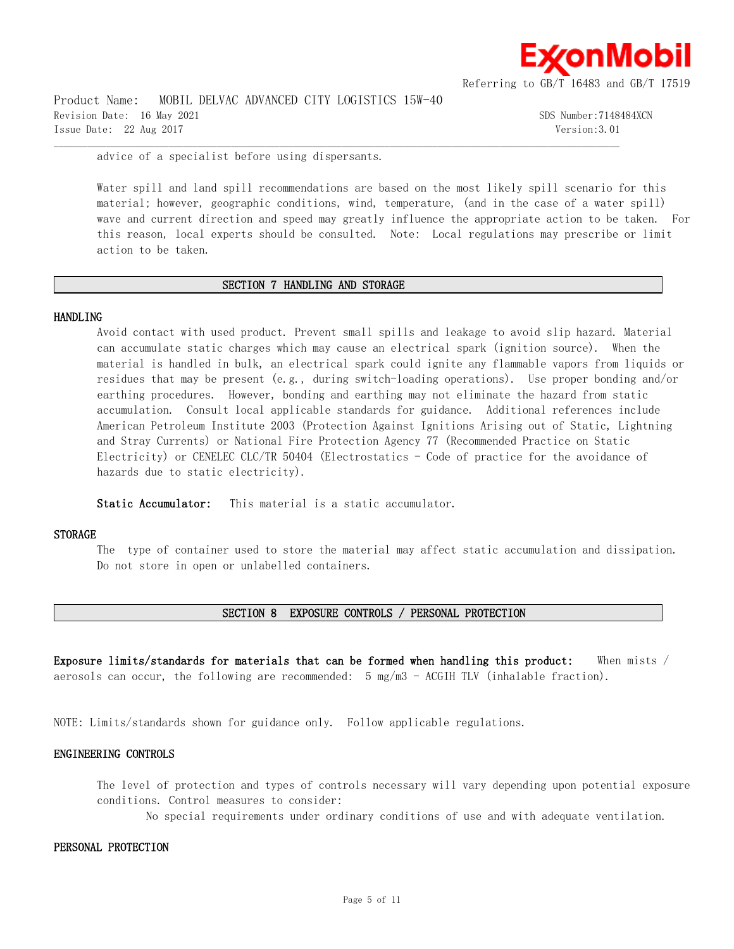

Product Name: MOBIL DELVAC ADVANCED CITY LOGISTICS 15W-40 Revision Date: 16 May 2021 3DS Number:7148484XCN Issue Date: 22 Aug 2017 Version:3.01

advice of a specialist before using dispersants.

Water spill and land spill recommendations are based on the most likely spill scenario for this material; however, geographic conditions, wind, temperature, (and in the case of a water spill) wave and current direction and speed may greatly influence the appropriate action to be taken. For this reason, local experts should be consulted. Note: Local regulations may prescribe or limit action to be taken.

#### **SECTION 7 HANDLING AND STORAGE**

 $\mathcal{L} = \{ \mathcal{L} = \{ \mathcal{L} = \{ \mathcal{L} = \{ \mathcal{L} = \{ \mathcal{L} = \{ \mathcal{L} = \{ \mathcal{L} = \{ \mathcal{L} = \{ \mathcal{L} = \{ \mathcal{L} = \{ \mathcal{L} = \{ \mathcal{L} = \{ \mathcal{L} = \{ \mathcal{L} = \{ \mathcal{L} = \{ \mathcal{L} = \{ \mathcal{L} = \{ \mathcal{L} = \{ \mathcal{L} = \{ \mathcal{L} = \{ \mathcal{L} = \{ \mathcal{L} = \{ \mathcal{L} = \{ \mathcal{$ 

#### **HANDLING**

Avoid contact with used product. Prevent small spills and leakage to avoid slip hazard. Material can accumulate static charges which may cause an electrical spark (ignition source). When the material is handled in bulk, an electrical spark could ignite any flammable vapors from liquids or residues that may be present (e.g., during switch-loading operations). Use proper bonding and/or earthing procedures. However, bonding and earthing may not eliminate the hazard from static accumulation. Consult local applicable standards for guidance. Additional references include American Petroleum Institute 2003 (Protection Against Ignitions Arising out of Static, Lightning and Stray Currents) or National Fire Protection Agency 77 (Recommended Practice on Static Electricity) or CENELEC CLC/TR 50404 (Electrostatics  $-$  Code of practice for the avoidance of hazards due to static electricity).

**Static Accumulator:** This material is a static accumulator.

#### **STORAGE**

The type of container used to store the material may affect static accumulation and dissipation. Do not store in open or unlabelled containers.

#### **SECTION 8 EXPOSURE CONTROLS / PERSONAL PROTECTION**

**Exposure limits/standards for materials that can be formed when handling this product:** When mists / aerosols can occur, the following are recommended: 5 mg/m3 - ACGIH TLV (inhalable fraction).

NOTE: Limits/standards shown for guidance only. Follow applicable regulations.

#### **ENGINEERING CONTROLS**

The level of protection and types of controls necessary will vary depending upon potential exposure conditions. Control measures to consider:

No special requirements under ordinary conditions of use and with adequate ventilation.

#### **PERSONAL PROTECTION**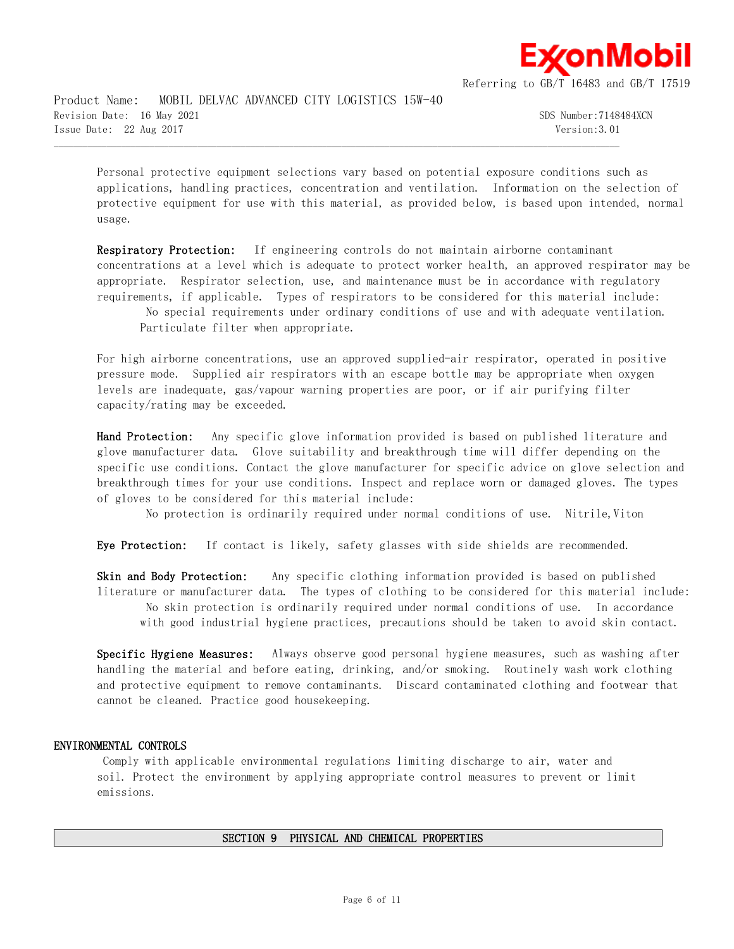

Product Name: MOBIL DELVAC ADVANCED CITY LOGISTICS 15W-40 Revision Date: 16 May 2021 30 Sumber:7148484XCN Issue Date: 22 Aug 2017 Version:3.01

Personal protective equipment selections vary based on potential exposure conditions such as applications, handling practices, concentration and ventilation. Information on the selection of protective equipment for use with this material, as provided below, is based upon intended, normal usage.

 $\mathcal{L} = \{ \mathcal{L} = \{ \mathcal{L} = \{ \mathcal{L} = \{ \mathcal{L} = \{ \mathcal{L} = \{ \mathcal{L} = \{ \mathcal{L} = \{ \mathcal{L} = \{ \mathcal{L} = \{ \mathcal{L} = \{ \mathcal{L} = \{ \mathcal{L} = \{ \mathcal{L} = \{ \mathcal{L} = \{ \mathcal{L} = \{ \mathcal{L} = \{ \mathcal{L} = \{ \mathcal{L} = \{ \mathcal{L} = \{ \mathcal{L} = \{ \mathcal{L} = \{ \mathcal{L} = \{ \mathcal{L} = \{ \mathcal{$ 

**Respiratory Protection:** If engineering controls do not maintain airborne contaminant concentrations at a level which is adequate to protect worker health, an approved respirator may be appropriate. Respirator selection, use, and maintenance must be in accordance with regulatory requirements, if applicable. Types of respirators to be considered for this material include:

 No special requirements under ordinary conditions of use and with adequate ventilation. Particulate filter when appropriate.

For high airborne concentrations, use an approved supplied-air respirator, operated in positive pressure mode. Supplied air respirators with an escape bottle may be appropriate when oxygen levels are inadequate, gas/vapour warning properties are poor, or if air purifying filter capacity/rating may be exceeded.

**Hand Protection:** Any specific glove information provided is based on published literature and glove manufacturer data. Glove suitability and breakthrough time will differ depending on the specific use conditions. Contact the glove manufacturer for specific advice on glove selection and breakthrough times for your use conditions. Inspect and replace worn or damaged gloves. The types of gloves to be considered for this material include:

No protection is ordinarily required under normal conditions of use. Nitrile,Viton

**Eye Protection:** If contact is likely, safety glasses with side shields are recommended.

**Skin and Body Protection:** Any specific clothing information provided is based on published literature or manufacturer data. The types of clothing to be considered for this material include: No skin protection is ordinarily required under normal conditions of use. In accordance with good industrial hygiene practices, precautions should be taken to avoid skin contact.

**Specific Hygiene Measures:** Always observe good personal hygiene measures, such as washing after handling the material and before eating, drinking, and/or smoking. Routinely wash work clothing and protective equipment to remove contaminants. Discard contaminated clothing and footwear that cannot be cleaned. Practice good housekeeping.

#### **ENVIRONMENTAL CONTROLS**

 Comply with applicable environmental regulations limiting discharge to air, water and soil. Protect the environment by applying appropriate control measures to prevent or limit emissions.

#### **SECTION 9 PHYSICAL AND CHEMICAL PROPERTIES**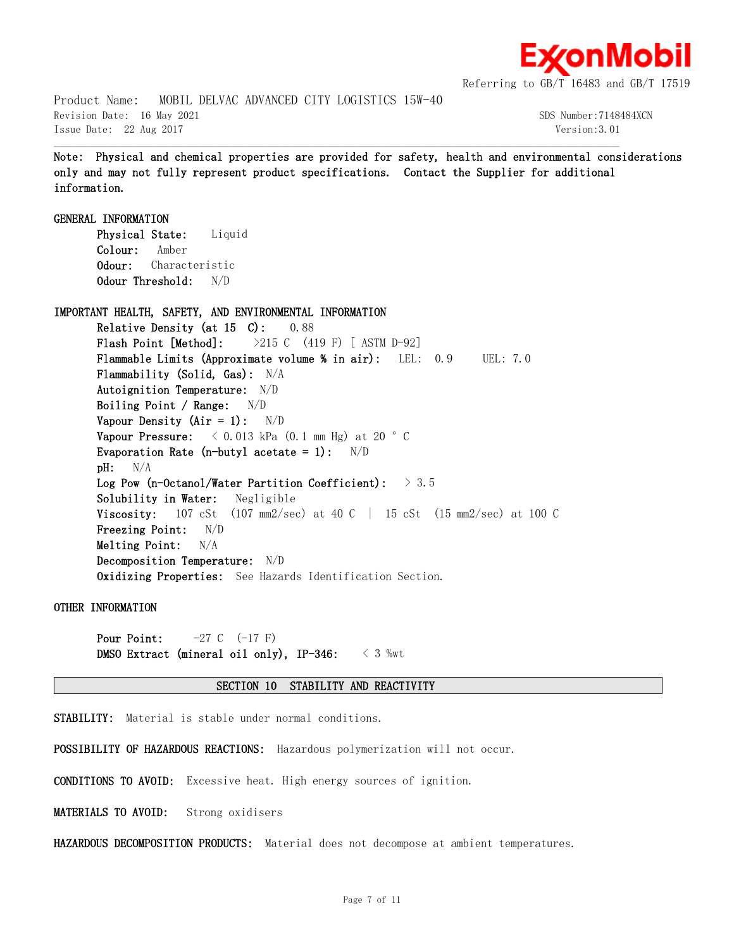

Product Name: MOBIL DELVAC ADVANCED CITY LOGISTICS 15W-40 Revision Date: 16 May 2021 30 Service 2012 1: 10 Sps Number:7148484XCN Issue Date: 22 Aug 2017 Version:3.01

**Note: Physical and chemical properties are provided for safety, health and environmental considerations only and may not fully represent product specifications. Contact the Supplier for additional information.**

 $\mathcal{L} = \{ \mathcal{L} = \{ \mathcal{L} = \{ \mathcal{L} = \{ \mathcal{L} = \{ \mathcal{L} = \{ \mathcal{L} = \{ \mathcal{L} = \{ \mathcal{L} = \{ \mathcal{L} = \{ \mathcal{L} = \{ \mathcal{L} = \{ \mathcal{L} = \{ \mathcal{L} = \{ \mathcal{L} = \{ \mathcal{L} = \{ \mathcal{L} = \{ \mathcal{L} = \{ \mathcal{L} = \{ \mathcal{L} = \{ \mathcal{L} = \{ \mathcal{L} = \{ \mathcal{L} = \{ \mathcal{L} = \{ \mathcal{$ 

**GENERAL INFORMATION Physical State:** Liquid **Colour:** Amber **Odour:** Characteristic **Odour Threshold:** N/D **IMPORTANT HEALTH, SAFETY, AND ENVIRONMENTAL INFORMATION Relative Density (at 15 C):** 0.88 **Flash Point [Method]:** >215 C (419 F) [ ASTM D-92] **Flammable Limits (Approximate volume % in air):** LEL: 0.9 UEL: 7.0 **Flammability (Solid, Gas):** N/A **Autoignition Temperature:** N/D **Boiling Point / Range:** N/D **Vapour Density (Air = 1):** N/D **Vapour Pressure:**  $\langle 0.013 \text{ kPa} (0.1 \text{ mm Hg}) \text{ at } 20 \text{ }^{\circ} \text{ C}$ **Evaporation Rate (n-butyl acetate = 1):** N/D **pH:** N/A **Log Pow (n-Octanol/Water Partition Coefficient):** > 3.5 **Solubility in Water:** Negligible **Viscosity:** 107 cSt (107 mm2/sec) at 40 C | 15 cSt (15 mm2/sec) at 100 C **Freezing Point:** N/D **Melting Point:** N/A **Decomposition Temperature:** N/D **Oxidizing Properties:** See Hazards Identification Section.

**OTHER INFORMATION**

**Pour Point:**  $-27 \text{ C}$  (-17 F) **DMSO Extract (mineral oil only), IP-346:** < 3 %wt

#### **SECTION 10 STABILITY AND REACTIVITY**

**STABILITY:** Material is stable under normal conditions.

**POSSIBILITY OF HAZARDOUS REACTIONS:** Hazardous polymerization will not occur.

**CONDITIONS TO AVOID:** Excessive heat. High energy sources of ignition.

**MATERIALS TO AVOID:** Strong oxidisers

**HAZARDOUS DECOMPOSITION PRODUCTS:** Material does not decompose at ambient temperatures.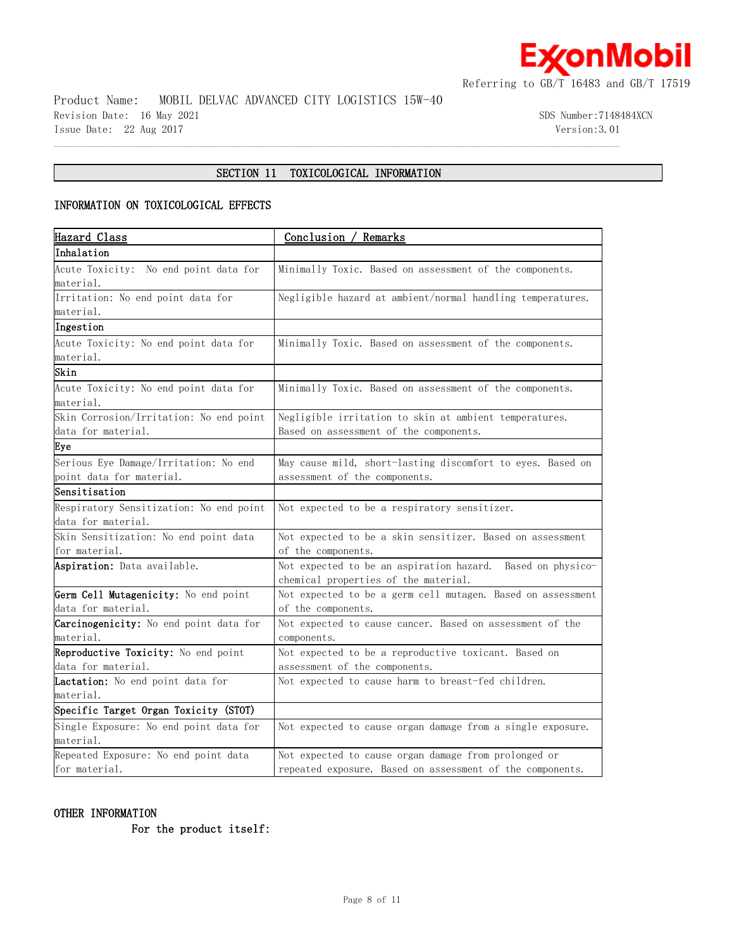

Product Name: MOBIL DELVAC ADVANCED CITY LOGISTICS 15W-40 Revision Date: 16 May 2021 3DS Number:7148484XCN Issue Date: 22 Aug 2017 Version:3.01

# **SECTION 11 TOXICOLOGICAL INFORMATION**

 $\mathcal{L} = \{ \mathcal{L} = \{ \mathcal{L} = \{ \mathcal{L} = \{ \mathcal{L} = \{ \mathcal{L} = \{ \mathcal{L} = \{ \mathcal{L} = \{ \mathcal{L} = \{ \mathcal{L} = \{ \mathcal{L} = \{ \mathcal{L} = \{ \mathcal{L} = \{ \mathcal{L} = \{ \mathcal{L} = \{ \mathcal{L} = \{ \mathcal{L} = \{ \mathcal{L} = \{ \mathcal{L} = \{ \mathcal{L} = \{ \mathcal{L} = \{ \mathcal{L} = \{ \mathcal{L} = \{ \mathcal{L} = \{ \mathcal{$ 

# **INFORMATION ON TOXICOLOGICAL EFFECTS**

| Hazard Class                                  | Conclusion / Remarks                                        |  |  |
|-----------------------------------------------|-------------------------------------------------------------|--|--|
| Inhalation                                    |                                                             |  |  |
| Acute Toxicity: No end point data for         | Minimally Toxic. Based on assessment of the components.     |  |  |
| material.                                     |                                                             |  |  |
| Irritation: No end point data for             | Negligible hazard at ambient/normal handling temperatures.  |  |  |
| material.                                     |                                                             |  |  |
| Ingestion                                     |                                                             |  |  |
| Acute Toxicity: No end point data for         | Minimally Toxic. Based on assessment of the components.     |  |  |
| material.                                     |                                                             |  |  |
| Skin                                          |                                                             |  |  |
| Acute Toxicity: No end point data for         | Minimally Toxic. Based on assessment of the components.     |  |  |
| material.                                     |                                                             |  |  |
| Skin Corrosion/Irritation: No end point       | Negligible irritation to skin at ambient temperatures.      |  |  |
| data for material.                            | Based on assessment of the components.                      |  |  |
| Eye                                           |                                                             |  |  |
| Serious Eye Damage/Irritation: No end         | May cause mild, short-lasting discomfort to eyes. Based on  |  |  |
| point data for material.                      | assessment of the components.                               |  |  |
| Sensitisation                                 |                                                             |  |  |
| Respiratory Sensitization: No end point       | Not expected to be a respiratory sensitizer.                |  |  |
| data for material.                            |                                                             |  |  |
| Skin Sensitization: No end point data         | Not expected to be a skin sensitizer. Based on assessment   |  |  |
| for material.                                 | of the components.                                          |  |  |
| Aspiration: Data available.                   | Not expected to be an aspiration hazard. Based on physico-  |  |  |
|                                               | chemical properties of the material.                        |  |  |
| Germ Cell Mutagenicity: No end point          | Not expected to be a germ cell mutagen. Based on assessment |  |  |
| data for material.                            | of the components.                                          |  |  |
| <b>Carcinogenicity:</b> No end point data for | Not expected to cause cancer. Based on assessment of the    |  |  |
| material.                                     | components.                                                 |  |  |
| Reproductive Toxicity: No end point           | Not expected to be a reproductive toxicant. Based on        |  |  |
| data for material.                            | assessment of the components.                               |  |  |
| Lactation: No end point data for              | Not expected to cause harm to breast-fed children.          |  |  |
| material.                                     |                                                             |  |  |
| Specific Target Organ Toxicity (STOT)         |                                                             |  |  |
| Single Exposure: No end point data for        | Not expected to cause organ damage from a single exposure.  |  |  |
| material.                                     |                                                             |  |  |
| Repeated Exposure: No end point data          | Not expected to cause organ damage from prolonged or        |  |  |
| for material.                                 | repeated exposure. Based on assessment of the components.   |  |  |

# **OTHER INFORMATION**

 **For the product itself:**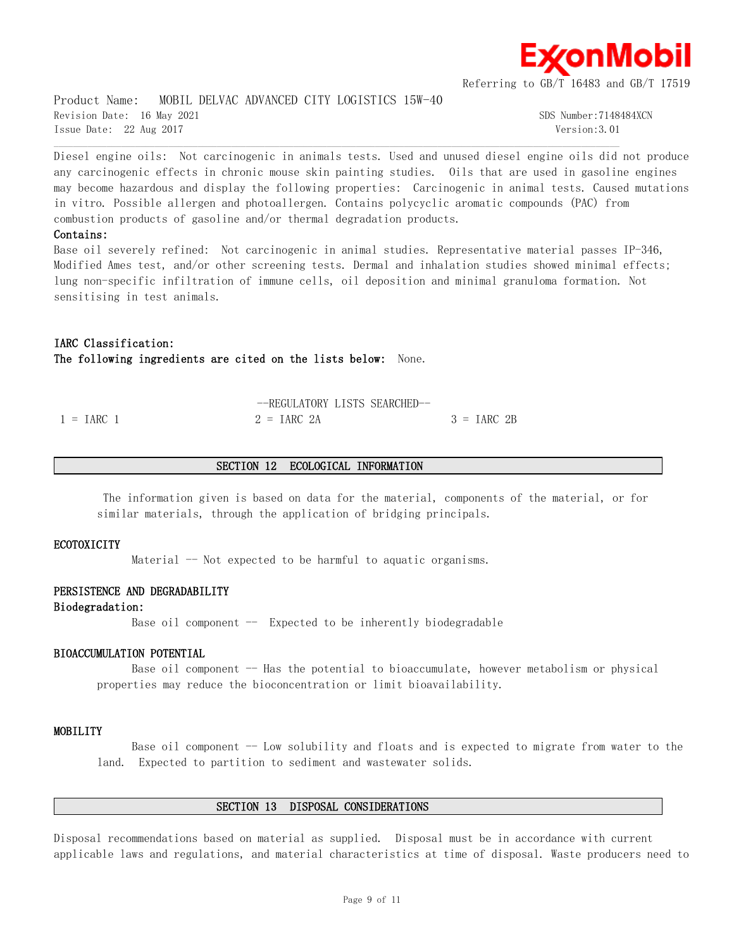

Product Name: MOBIL DELVAC ADVANCED CITY LOGISTICS 15W-40 Revision Date: 16 May 2021 30 Service 2012 1: 10 Sps Number:7148484XCN Issue Date: 22 Aug 2017 Version:3.01

Diesel engine oils: Not carcinogenic in animals tests. Used and unused diesel engine oils did not produce any carcinogenic effects in chronic mouse skin painting studies. Oils that are used in gasoline engines may become hazardous and display the following properties: Carcinogenic in animal tests. Caused mutations in vitro. Possible allergen and photoallergen. Contains polycyclic aromatic compounds (PAC) from combustion products of gasoline and/or thermal degradation products.

 $\mathcal{L} = \{ \mathcal{L} = \{ \mathcal{L} = \{ \mathcal{L} = \{ \mathcal{L} = \{ \mathcal{L} = \{ \mathcal{L} = \{ \mathcal{L} = \{ \mathcal{L} = \{ \mathcal{L} = \{ \mathcal{L} = \{ \mathcal{L} = \{ \mathcal{L} = \{ \mathcal{L} = \{ \mathcal{L} = \{ \mathcal{L} = \{ \mathcal{L} = \{ \mathcal{L} = \{ \mathcal{L} = \{ \mathcal{L} = \{ \mathcal{L} = \{ \mathcal{L} = \{ \mathcal{L} = \{ \mathcal{L} = \{ \mathcal{$ 

#### **Contains:**

Base oil severely refined: Not carcinogenic in animal studies. Representative material passes IP-346, Modified Ames test, and/or other screening tests. Dermal and inhalation studies showed minimal effects; lung non-specific infiltration of immune cells, oil deposition and minimal granuloma formation. Not sensitising in test animals.

# **IARC Classification: The following ingredients are cited on the lists below:** None.

|                     | --REGULATORY LISTS SEARCHED-- |               |
|---------------------|-------------------------------|---------------|
| $1 = \text{TARC}$ 1 | $2 = \text{IARC} 2A$          | $3 = IARC 2B$ |

#### **SECTION 12 ECOLOGICAL INFORMATION**

 The information given is based on data for the material, components of the material, or for similar materials, through the application of bridging principals.

#### **ECOTOXICITY**

Material  $-$  Not expected to be harmful to aquatic organisms.

#### **PERSISTENCE AND DEGRADABILITY**

**Biodegradation:**

Base oil component  $-$  Expected to be inherently biodegradable

#### **BIOACCUMULATION POTENTIAL**

Base oil component -- Has the potential to bioaccumulate, however metabolism or physical properties may reduce the bioconcentration or limit bioavailability.

#### **MOBILITY**

Base oil component  $-$  Low solubility and floats and is expected to migrate from water to the land. Expected to partition to sediment and wastewater solids.

#### **SECTION 13 DISPOSAL CONSIDERATIONS**

Disposal recommendations based on material as supplied. Disposal must be in accordance with current applicable laws and regulations, and material characteristics at time of disposal. Waste producers need to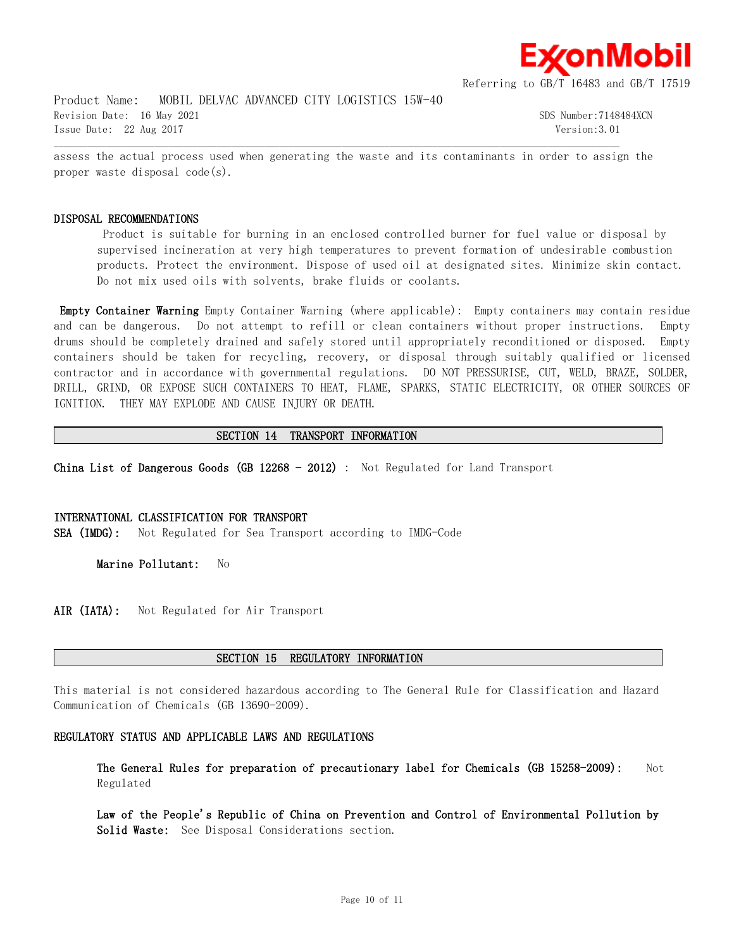

Product Name: MOBIL DELVAC ADVANCED CITY LOGISTICS 15W-40 Revision Date: 16 May 2021 30 Service 2012 1: 10 Sps Number:7148484XCN Issue Date: 22 Aug 2017 Version:3.01

assess the actual process used when generating the waste and its contaminants in order to assign the proper waste disposal code(s).

 $\mathcal{L} = \{ \mathcal{L} = \{ \mathcal{L} = \{ \mathcal{L} = \{ \mathcal{L} = \{ \mathcal{L} = \{ \mathcal{L} = \{ \mathcal{L} = \{ \mathcal{L} = \{ \mathcal{L} = \{ \mathcal{L} = \{ \mathcal{L} = \{ \mathcal{L} = \{ \mathcal{L} = \{ \mathcal{L} = \{ \mathcal{L} = \{ \mathcal{L} = \{ \mathcal{L} = \{ \mathcal{L} = \{ \mathcal{L} = \{ \mathcal{L} = \{ \mathcal{L} = \{ \mathcal{L} = \{ \mathcal{L} = \{ \mathcal{$ 

#### **DISPOSAL RECOMMENDATIONS**

 Product is suitable for burning in an enclosed controlled burner for fuel value or disposal by supervised incineration at very high temperatures to prevent formation of undesirable combustion products. Protect the environment. Dispose of used oil at designated sites. Minimize skin contact. Do not mix used oils with solvents, brake fluids or coolants.

**Empty Container Warning** Empty Container Warning (where applicable): Empty containers may contain residue and can be dangerous. Do not attempt to refill or clean containers without proper instructions. Empty drums should be completely drained and safely stored until appropriately reconditioned or disposed. Empty containers should be taken for recycling, recovery, or disposal through suitably qualified or licensed contractor and in accordance with governmental regulations. DO NOT PRESSURISE, CUT, WELD, BRAZE, SOLDER, DRILL, GRIND, OR EXPOSE SUCH CONTAINERS TO HEAT, FLAME, SPARKS, STATIC ELECTRICITY, OR OTHER SOURCES OF IGNITION. THEY MAY EXPLODE AND CAUSE INJURY OR DEATH.

#### **SECTION 14 TRANSPORT INFORMATION**

**China List of Dangerous Goods (GB 12268 - 2012)** : Not Regulated for Land Transport

#### **INTERNATIONAL CLASSIFICATION FOR TRANSPORT**

**SEA (IMDG):** Not Regulated for Sea Transport according to IMDG-Code

**Marine Pollutant:** No

**AIR (IATA):** Not Regulated for Air Transport

#### **SECTION 15 REGULATORY INFORMATION**

This material is not considered hazardous according to The General Rule for Classification and Hazard Communication of Chemicals (GB 13690-2009).

#### **REGULATORY STATUS AND APPLICABLE LAWS AND REGULATIONS**

**The General Rules for preparation of precautionary label for Chemicals (GB 15258-2009):** Not Regulated

**Law of the People's Republic of China on Prevention and Control of Environmental Pollution by Solid Waste:** See Disposal Considerations section.